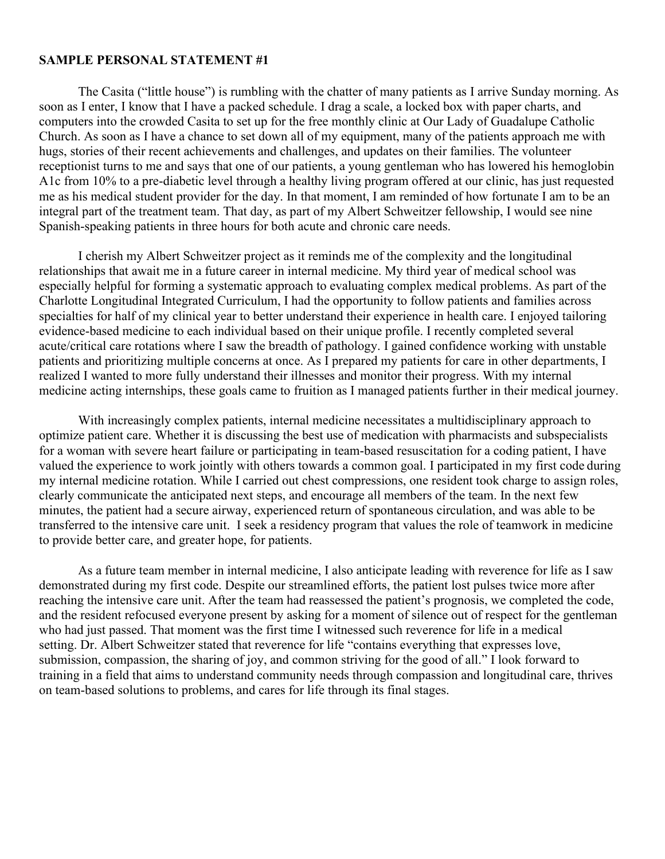## **SAMPLE PERSONAL STATEMENT #1**

The Casita ("little house") is rumbling with the chatter of many patients as I arrive Sunday morning. As soon as I enter, I know that I have a packed schedule. I drag a scale, a locked box with paper charts, and computers into the crowded Casita to set up for the free monthly clinic at Our Lady of Guadalupe Catholic Church. As soon as I have a chance to set down all of my equipment, many of the patients approach me with hugs, stories of their recent achievements and challenges, and updates on their families. The volunteer receptionist turns to me and says that one of our patients, a young gentleman who has lowered his hemoglobin A1c from 10% to a pre-diabetic level through a healthy living program offered at our clinic, has just requested me as his medical student provider for the day. In that moment, I am reminded of how fortunate I am to be an integral part of the treatment team. That day, as part of my Albert Schweitzer fellowship, I would see nine Spanish-speaking patients in three hours for both acute and chronic care needs.

I cherish my Albert Schweitzer project as it reminds me of the complexity and the longitudinal relationships that await me in a future career in internal medicine. My third year of medical school was especially helpful for forming a systematic approach to evaluating complex medical problems. As part of the Charlotte Longitudinal Integrated Curriculum, I had the opportunity to follow patients and families across specialties for half of my clinical year to better understand their experience in health care. I enjoyed tailoring evidence-based medicine to each individual based on their unique profile. I recently completed several acute/critical care rotations where I saw the breadth of pathology. I gained confidence working with unstable patients and prioritizing multiple concerns at once. As I prepared my patients for care in other departments, I realized I wanted to more fully understand their illnesses and monitor their progress. With my internal medicine acting internships, these goals came to fruition as I managed patients further in their medical journey.

With increasingly complex patients, internal medicine necessitates a multidisciplinary approach to optimize patient care. Whether it is discussing the best use of medication with pharmacists and subspecialists for a woman with severe heart failure or participating in team-based resuscitation for a coding patient, I have valued the experience to work jointly with others towards a common goal. I participated in my first code during my internal medicine rotation. While I carried out chest compressions, one resident took charge to assign roles, clearly communicate the anticipated next steps, and encourage all members of the team. In the next few minutes, the patient had a secure airway, experienced return of spontaneous circulation, and was able to be transferred to the intensive care unit. I seek a residency program that values the role of teamwork in medicine to provide better care, and greater hope, for patients.

As a future team member in internal medicine, I also anticipate leading with reverence for life as I saw demonstrated during my first code. Despite our streamlined efforts, the patient lost pulses twice more after reaching the intensive care unit. After the team had reassessed the patient's prognosis, we completed the code, and the resident refocused everyone present by asking for a moment of silence out of respect for the gentleman who had just passed. That moment was the first time I witnessed such reverence for life in a medical setting. Dr. Albert Schweitzer stated that reverence for life "contains everything that expresses love, submission, compassion, the sharing of joy, and common striving for the good of all." I look forward to training in a field that aims to understand community needs through compassion and longitudinal care, thrives on team-based solutions to problems, and cares for life through its final stages.